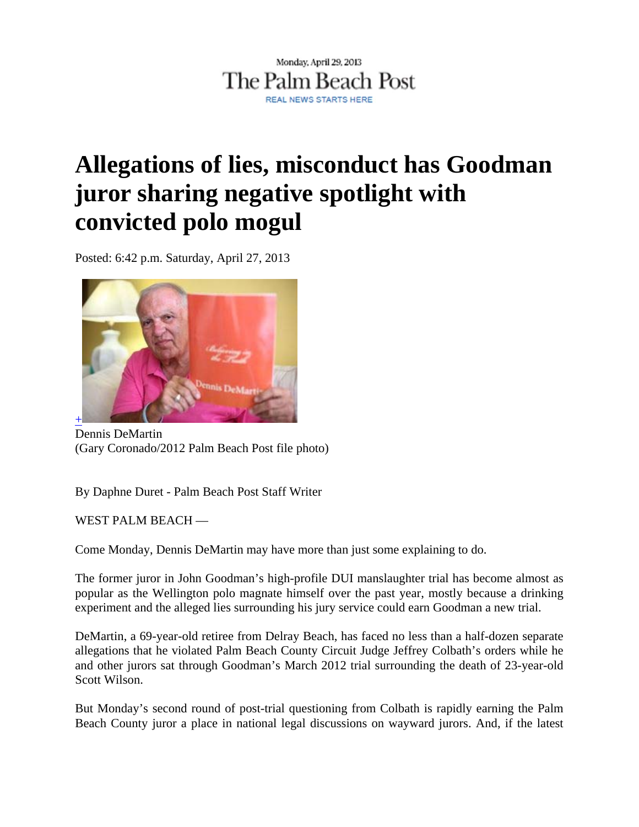

## **Allegations of lies, misconduct has Goodman juror sharing negative spotlight with convicted polo mogul**

Posted: 6:42 p.m. Saturday, April 27, 2013



Dennis DeMartin (Gary Coronado/2012 Palm Beach Post file photo)

By Daphne Duret - Palm Beach Post Staff Writer

WEST PALM BEACH —

Come Monday, Dennis DeMartin may have more than just some explaining to do.

The former juror in John Goodman's high-profile DUI manslaughter trial has become almost as popular as the Wellington polo magnate himself over the past year, mostly because a drinking experiment and the alleged lies surrounding his jury service could earn Goodman a new trial.

DeMartin, a 69-year-old retiree from Delray Beach, has faced no less than a half-dozen separate allegations that he violated Palm Beach County Circuit Judge Jeffrey Colbath's orders while he and other jurors sat through Goodman's March 2012 trial surrounding the death of 23-year-old Scott Wilson.

But Monday's second round of post-trial questioning from Colbath is rapidly earning the Palm Beach County juror a place in national legal discussions on wayward jurors. And, if the latest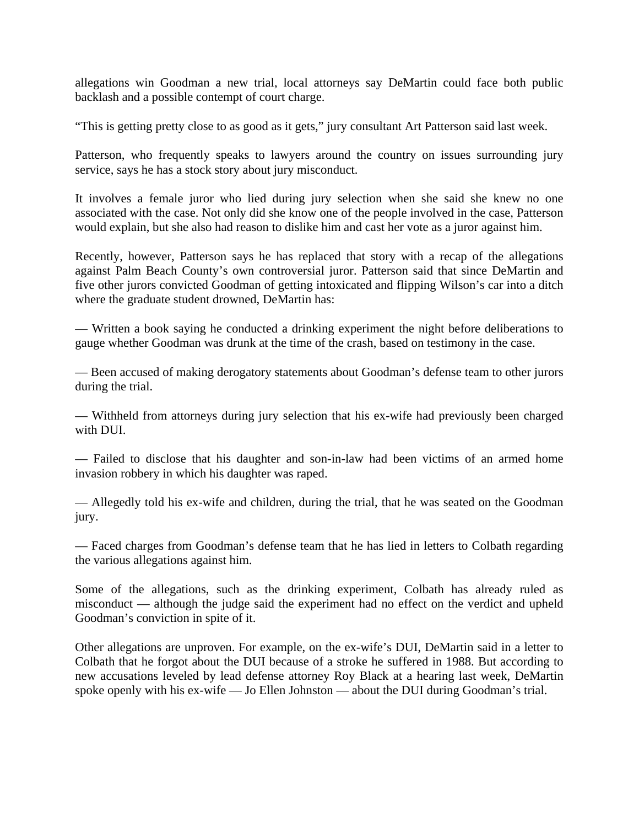allegations win Goodman a new trial, local attorneys say DeMartin could face both public backlash and a possible contempt of court charge.

"This is getting pretty close to as good as it gets," jury consultant Art Patterson said last week.

Patterson, who frequently speaks to lawyers around the country on issues surrounding jury service, says he has a stock story about jury misconduct.

It involves a female juror who lied during jury selection when she said she knew no one associated with the case. Not only did she know one of the people involved in the case, Patterson would explain, but she also had reason to dislike him and cast her vote as a juror against him.

Recently, however, Patterson says he has replaced that story with a recap of the allegations against Palm Beach County's own controversial juror. Patterson said that since DeMartin and five other jurors convicted Goodman of getting intoxicated and flipping Wilson's car into a ditch where the graduate student drowned, DeMartin has:

— Written a book saying he conducted a drinking experiment the night before deliberations to gauge whether Goodman was drunk at the time of the crash, based on testimony in the case.

— Been accused of making derogatory statements about Goodman's defense team to other jurors during the trial.

— Withheld from attorneys during jury selection that his ex-wife had previously been charged with DUI.

— Failed to disclose that his daughter and son-in-law had been victims of an armed home invasion robbery in which his daughter was raped.

— Allegedly told his ex-wife and children, during the trial, that he was seated on the Goodman jury.

— Faced charges from Goodman's defense team that he has lied in letters to Colbath regarding the various allegations against him.

Some of the allegations, such as the drinking experiment, Colbath has already ruled as misconduct — although the judge said the experiment had no effect on the verdict and upheld Goodman's conviction in spite of it.

Other allegations are unproven. For example, on the ex-wife's DUI, DeMartin said in a letter to Colbath that he forgot about the DUI because of a stroke he suffered in 1988. But according to new accusations leveled by lead defense attorney Roy Black at a hearing last week, DeMartin spoke openly with his ex-wife — Jo Ellen Johnston — about the DUI during Goodman's trial.